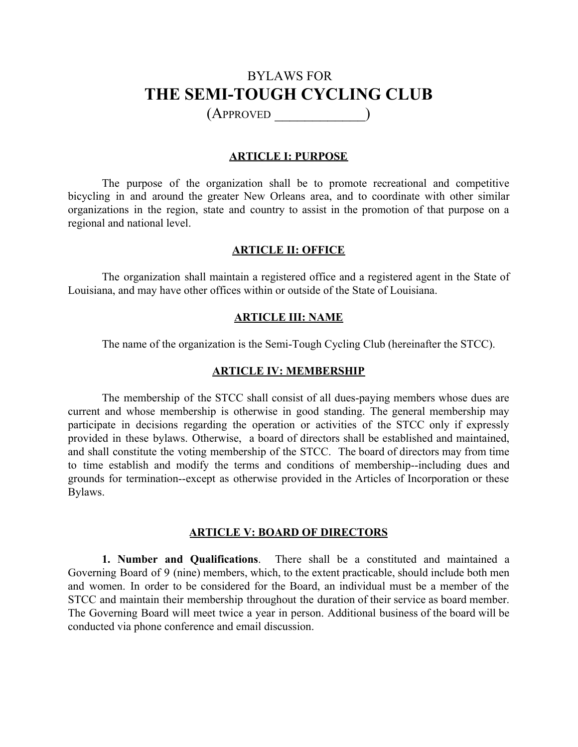# BYLAWS FOR **THE SEMI-TOUGH CYCLING CLUB**

(APPROVED \_\_\_\_\_\_\_\_\_\_\_\_)

### **ARTICLE I: PURPOSE**

The purpose of the organization shall be to promote recreational and competitive bicycling in and around the greater New Orleans area, and to coordinate with other similar organizations in the region, state and country to assist in the promotion of that purpose on a regional and national level.

### **ARTICLE II: OFFICE**

The organization shall maintain a registered office and a registered agent in the State of Louisiana, and may have other offices within or outside of the State of Louisiana.

### **ARTICLE III: NAME**

The name of the organization is the Semi-Tough Cycling Club (hereinafter the STCC).

### **ARTICLE IV: MEMBERSHIP**

The membership of the STCC shall consist of all dues-paying members whose dues are current and whose membership is otherwise in good standing. The general membership may participate in decisions regarding the operation or activities of the STCC only if expressly provided in these bylaws. Otherwise, a board of directors shall be established and maintained, and shall constitute the voting membership of the STCC. The board of directors may from time to time establish and modify the terms and conditions of membership--including dues and grounds for termination--except as otherwise provided in the Articles of Incorporation or these Bylaws.

### **ARTICLE V: BOARD OF DIRECTORS**

**1. Number and Qualifications**. There shall be a constituted and maintained a Governing Board of 9 (nine) members, which, to the extent practicable, should include both men and women. In order to be considered for the Board, an individual must be a member of the STCC and maintain their membership throughout the duration of their service as board member. The Governing Board will meet twice a year in person. Additional business of the board will be conducted via phone conference and email discussion.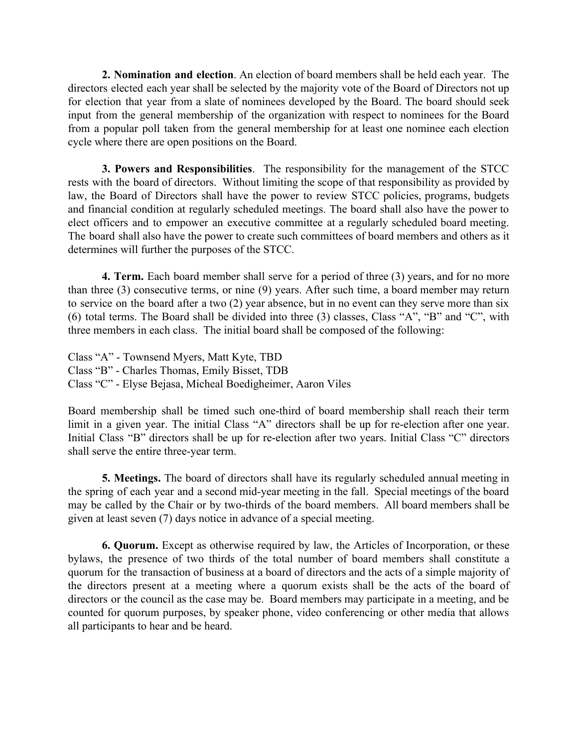**2. Nomination and election**. An election of board members shall be held each year. The directors elected each year shall be selected by the majority vote of the Board of Directors not up for election that year from a slate of nominees developed by the Board. The board should seek input from the general membership of the organization with respect to nominees for the Board from a popular poll taken from the general membership for at least one nominee each election cycle where there are open positions on the Board.

**3. Powers and Responsibilities**. The responsibility for the management of the STCC rests with the board of directors. Without limiting the scope of that responsibility as provided by law, the Board of Directors shall have the power to review STCC policies, programs, budgets and financial condition at regularly scheduled meetings. The board shall also have the power to elect officers and to empower an executive committee at a regularly scheduled board meeting. The board shall also have the power to create such committees of board members and others as it determines will further the purposes of the STCC.

**4. Term.** Each board member shall serve for a period of three (3) years, and for no more than three (3) consecutive terms, or nine (9) years. After such time, a board member may return to service on the board after a two (2) year absence, but in no event can they serve more than six (6) total terms. The Board shall be divided into three (3) classes, Class "A", "B" and "C", with three members in each class. The initial board shall be composed of the following:

Class "A" - Townsend Myers, Matt Kyte, TBD Class "B" - Charles Thomas, Emily Bisset, TDB Class "C" - Elyse Bejasa, Micheal Boedigheimer, Aaron Viles

Board membership shall be timed such one-third of board membership shall reach their term limit in a given year. The initial Class "A" directors shall be up for re-election after one year. Initial Class "B" directors shall be up for re-election after two years. Initial Class "C" directors shall serve the entire three-year term.

**5. Meetings.** The board of directors shall have its regularly scheduled annual meeting in the spring of each year and a second mid-year meeting in the fall. Special meetings of the board may be called by the Chair or by two-thirds of the board members. All board members shall be given at least seven (7) days notice in advance of a special meeting.

**6. Quorum.** Except as otherwise required by law, the Articles of Incorporation, or these bylaws, the presence of two thirds of the total number of board members shall constitute a quorum for the transaction of business at a board of directors and the acts of a simple majority of the directors present at a meeting where a quorum exists shall be the acts of the board of directors or the council as the case may be. Board members may participate in a meeting, and be counted for quorum purposes, by speaker phone, video conferencing or other media that allows all participants to hear and be heard.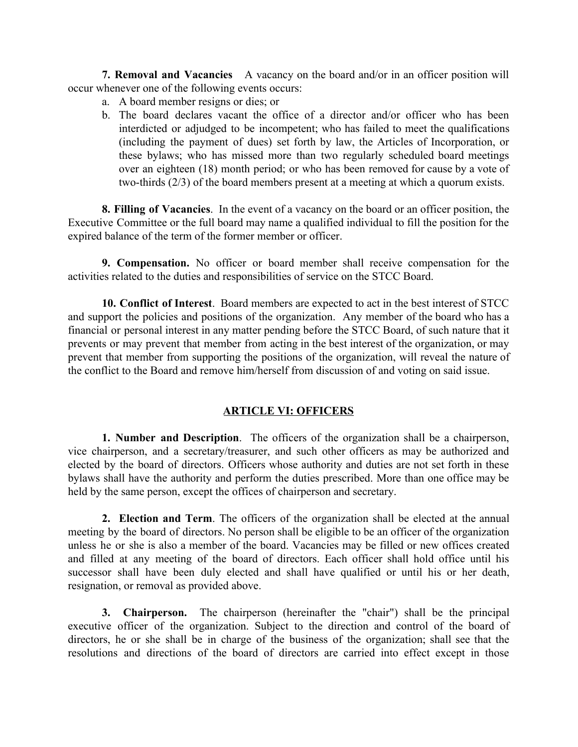**7. Removal and Vacancies** A vacancy on the board and/or in an officer position will occur whenever one of the following events occurs:

- a. A board member resigns or dies; or
- b. The board declares vacant the office of a director and/or officer who has been interdicted or adjudged to be incompetent; who has failed to meet the qualifications (including the payment of dues) set forth by law, the Articles of Incorporation, or these bylaws; who has missed more than two regularly scheduled board meetings over an eighteen (18) month period; or who has been removed for cause by a vote of two-thirds (2/3) of the board members present at a meeting at which a quorum exists.

**8. Filling of Vacancies**. In the event of a vacancy on the board or an officer position, the Executive Committee or the full board may name a qualified individual to fill the position for the expired balance of the term of the former member or officer.

**9. Compensation.** No officer or board member shall receive compensation for the activities related to the duties and responsibilities of service on the STCC Board.

**10. Conflict of Interest**. Board members are expected to act in the best interest of STCC and support the policies and positions of the organization. Any member of the board who has a financial or personal interest in any matter pending before the STCC Board, of such nature that it prevents or may prevent that member from acting in the best interest of the organization, or may prevent that member from supporting the positions of the organization, will reveal the nature of the conflict to the Board and remove him/herself from discussion of and voting on said issue.

# **ARTICLE VI: OFFICERS**

**1. Number and Description**. The officers of the organization shall be a chairperson, vice chairperson, and a secretary/treasurer, and such other officers as may be authorized and elected by the board of directors. Officers whose authority and duties are not set forth in these bylaws shall have the authority and perform the duties prescribed. More than one office may be held by the same person, except the offices of chairperson and secretary.

**2. Election and Term**. The officers of the organization shall be elected at the annual meeting by the board of directors. No person shall be eligible to be an officer of the organization unless he or she is also a member of the board. Vacancies may be filled or new offices created and filled at any meeting of the board of directors. Each officer shall hold office until his successor shall have been duly elected and shall have qualified or until his or her death, resignation, or removal as provided above.

**3. Chairperson.** The chairperson (hereinafter the "chair") shall be the principal executive officer of the organization. Subject to the direction and control of the board of directors, he or she shall be in charge of the business of the organization; shall see that the resolutions and directions of the board of directors are carried into effect except in those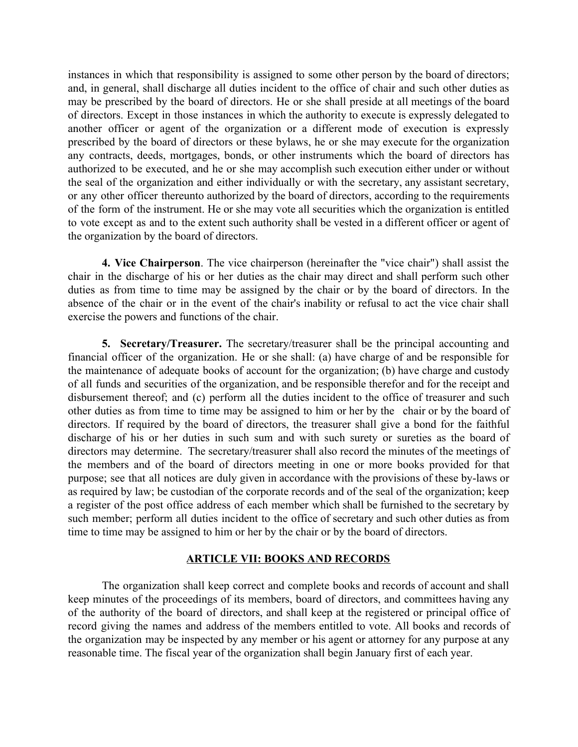instances in which that responsibility is assigned to some other person by the board of directors; and, in general, shall discharge all duties incident to the office of chair and such other duties as may be prescribed by the board of directors. He or she shall preside at all meetings of the board of directors. Except in those instances in which the authority to execute is expressly delegated to another officer or agent of the organization or a different mode of execution is expressly prescribed by the board of directors or these bylaws, he or she may execute for the organization any contracts, deeds, mortgages, bonds, or other instruments which the board of directors has authorized to be executed, and he or she may accomplish such execution either under or without the seal of the organization and either individually or with the secretary, any assistant secretary, or any other officer thereunto authorized by the board of directors, according to the requirements of the form of the instrument. He or she may vote all securities which the organization is entitled to vote except as and to the extent such authority shall be vested in a different officer or agent of the organization by the board of directors.

**4. Vice Chairperson**. The vice chairperson (hereinafter the "vice chair") shall assist the chair in the discharge of his or her duties as the chair may direct and shall perform such other duties as from time to time may be assigned by the chair or by the board of directors. In the absence of the chair or in the event of the chair's inability or refusal to act the vice chair shall exercise the powers and functions of the chair.

**5. Secretary/Treasurer.** The secretary/treasurer shall be the principal accounting and financial officer of the organization. He or she shall: (a) have charge of and be responsible for the maintenance of adequate books of account for the organization; (b) have charge and custody of all funds and securities of the organization, and be responsible therefor and for the receipt and disbursement thereof; and (c) perform all the duties incident to the office of treasurer and such other duties as from time to time may be assigned to him or her by the chair or by the board of directors. If required by the board of directors, the treasurer shall give a bond for the faithful discharge of his or her duties in such sum and with such surety or sureties as the board of directors may determine. The secretary/treasurer shall also record the minutes of the meetings of the members and of the board of directors meeting in one or more books provided for that purpose; see that all notices are duly given in accordance with the provisions of these by-laws or as required by law; be custodian of the corporate records and of the seal of the organization; keep a register of the post office address of each member which shall be furnished to the secretary by such member; perform all duties incident to the office of secretary and such other duties as from time to time may be assigned to him or her by the chair or by the board of directors.

## **ARTICLE VII: BOOKS AND RECORDS**

The organization shall keep correct and complete books and records of account and shall keep minutes of the proceedings of its members, board of directors, and committees having any of the authority of the board of directors, and shall keep at the registered or principal office of record giving the names and address of the members entitled to vote. All books and records of the organization may be inspected by any member or his agent or attorney for any purpose at any reasonable time. The fiscal year of the organization shall begin January first of each year.